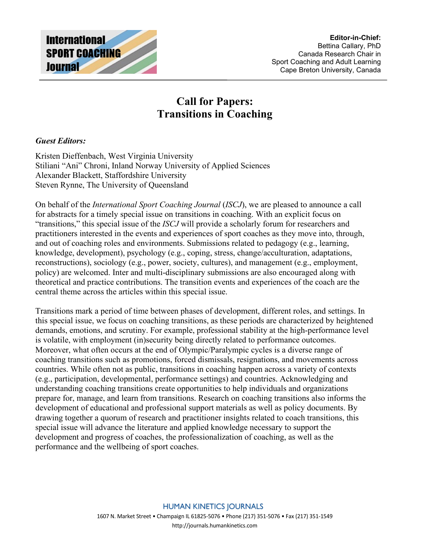

## **Call for Papers: Transitions in Coaching**

## *Guest Editors:*

Kristen Dieffenbach, West Virginia University Stiliani "Ani" Chroni, Inland Norway University of Applied Sciences Alexander Blackett, Staffordshire University Steven Rynne, The University of Queensland

On behalf of the *International Sport Coaching Journal* (*ISCJ*), we are pleased to announce a call for abstracts for a timely special issue on transitions in coaching. With an explicit focus on "transitions," this special issue of the *ISCJ* will provide a scholarly forum for researchers and practitioners interested in the events and experiences of sport coaches as they move into, through, and out of coaching roles and environments. Submissions related to pedagogy (e.g., learning, knowledge, development), psychology (e.g., coping, stress, change/acculturation, adaptations, reconstructions), sociology (e.g., power, society, cultures), and management (e.g., employment, policy) are welcomed. Inter and multi-disciplinary submissions are also encouraged along with theoretical and practice contributions. The transition events and experiences of the coach are the central theme across the articles within this special issue.

Transitions mark a period of time between phases of development, different roles, and settings. In this special issue, we focus on coaching transitions, as these periods are characterized by heightened demands, emotions, and scrutiny. For example, professional stability at the high-performance level is volatile, with employment (in)security being directly related to performance outcomes. Moreover, what often occurs at the end of Olympic/Paralympic cycles is a diverse range of coaching transitions such as promotions, forced dismissals, resignations, and movements across countries. While often not as public, transitions in coaching happen across a variety of contexts (e.g., participation, developmental, performance settings) and countries. Acknowledging and understanding coaching transitions create opportunities to help individuals and organizations prepare for, manage, and learn from transitions. Research on coaching transitions also informs the development of educational and professional support materials as well as policy documents. By drawing together a quorum of research and practitioner insights related to coach transitions, this special issue will advance the literature and applied knowledge necessary to support the development and progress of coaches, the professionalization of coaching, as well as the performance and the wellbeing of sport coaches.

> **HUMAN KINETICS JOURNALS** 1607 N. Market Street • Champaign IL 61825-5076 • Phone (217) 351-5076 • Fax (217) 351-1549 [http://journals.humankinetics.com](http://journals.humankinetics.com/)